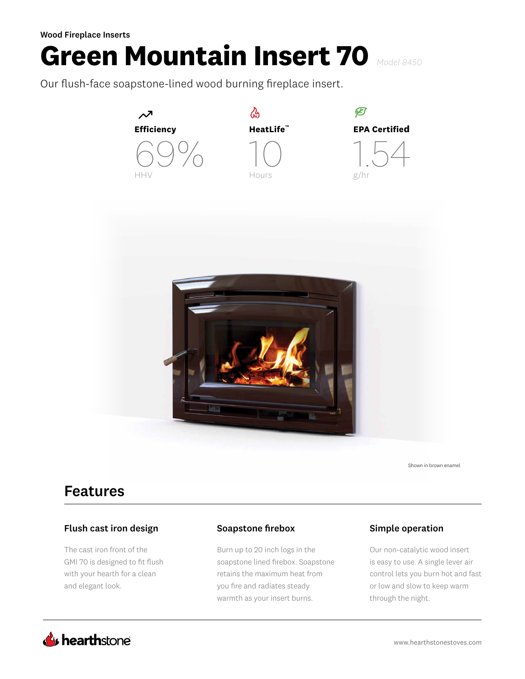# **Green Mountain Insert 70** *Model 8450*

Our flush-face soapstone-lined wood burning fireplace insert.



Shown in brown enamel

## Features

#### Flush cast iron design

The cast iron front of the GMI 70 is designed to fit flush with your hearth for a clean and elegant look.

#### Soapstone firebox Simple operation

Burn up to 20 inch logs in the soapstone lined firebox. Soapstone retains the maximum heat from you fire and radiates steady warmth as your insert burns.

Our non-catalytic wood insert is easy to use. A single lever air control lets you burn hot and fast or low and slow to keep warm through the night.